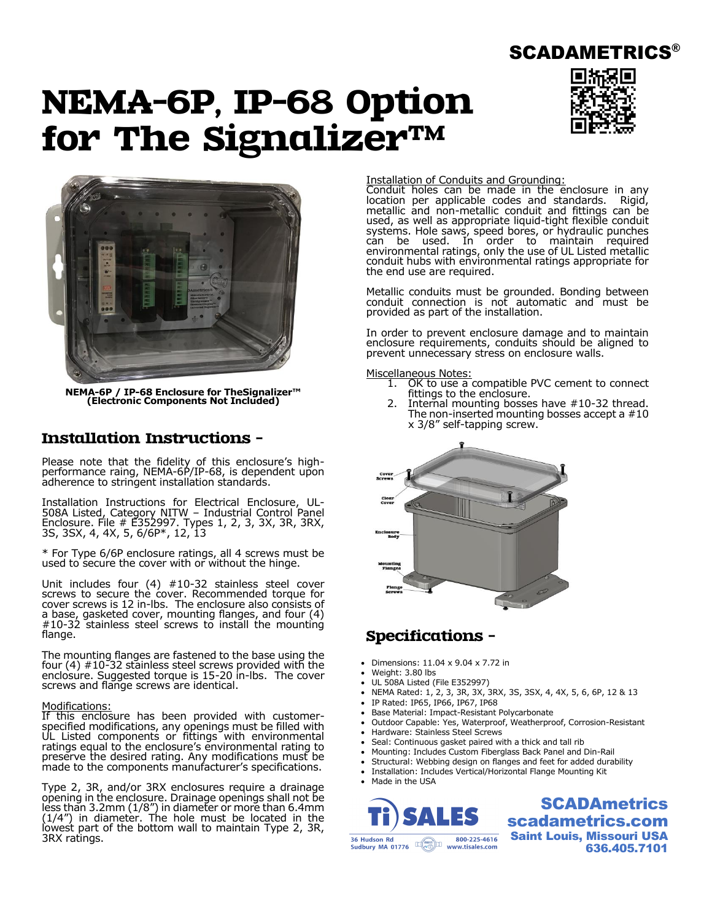# NEMA-6P, IP-68 Option for The Signalizer™



SCADAMETRICS®



**NEMA-6P / IP-68 Enclosure for TheSignalizer™ (Electronic Components Not Included)**

## Installation Instructions –

Please note that the fidelity of this enclosure's highperformance raing, NEMA-6P/IP-68, is dependent upon adherence to stringent installation standards.

Installation Instructions for Electrical Enclosure, UL-508A Listed, Category NITW – Industrial Control Panel Enclosure. File # E352997. Types 1, 2, 3, 3X, 3R, 3RX, 3S, 3SX, 4, 4X, 5, 6/6P\*, 12, 13

\* For Type 6/6P enclosure ratings, all 4 screws must be used to secure the cover with or without the hinge.

Unit includes four (4) #10-32 stainless steel cover screws to secure the cover. Recommended torque for cover screws is 12 in-lbs. The enclosure also consists of a base, gasketed cover, mounting flanges, and four (4) #10-32 stainless steel screws to install the mounting flange.

The mounting flanges are fastened to the base using the four (4) #10-32 stainless steel screws provided with the enclosure. Suggested torque is 15-20 in-lbs. The cover screws and flange screws are identical.

#### Modifications:

If this enclosure has been provided with customerspecified modifications, any openings must be filled with UL Listed components or fittings with environmental ratings equal to the enclosure's environmental rating to preserve the desired rating. Any modifications must be made to the components manufacturer's specifications.

Type 2, 3R, and/or 3RX enclosures require a drainage opening in the enclosure. Drainage openings shall not be less than 3.2mm (1/8") in diameter or more than 6.4mm (1/4") in diameter. The hole must be located in the lowest part of the bottom wall to maintain Type 2, 3R, 3RX ratings.

#### Installation of Conduits and Grounding:

Conduit holes can be made in the enclosure in any location per applicable codes and standards. Rigid, metallic and non-metallic conduit and fittings can be used, as well as appropriate liquid-tight flexible conduit systems. Hole saws, speed bores, or hydraulic punches can be used. In order to maintain required environmental ratings, only the use of UL Listed metallic conduit hubs with environmental ratings appropriate for the end use are required.

Metallic conduits must be grounded. Bonding between conduit connection is not automatic and must be provided as part of the installation.

In order to prevent enclosure damage and to maintain enclosure requirements, conduits should be aligned to prevent unnecessary stress on enclosure walls.

#### Miscellaneous Notes:

- 1. OK to use a compatible PVC cement to connect fittings to the enclosure.
- 2. Internal mounting bosses have #10-32 thread. The non-inserted mounting bosses accept a #10 x 3/8" self-tapping screw.



### Specifications –

- Dimensions: 11.04 x 9.04 x 7.72 in
- Weight: 3.80 lbs
- UL 508A Listed (File E352997)
- NEMA Rated: 1, 2, 3, 3R, 3X, 3RX, 3S, 3SX, 4, 4X, 5, 6, 6P, 12 & 13
- IP Rated: IP65, IP66, IP67, IP68
- Base Material: Impact-Resistant Polycarbonate
- Outdoor Capable: Yes, Waterproof, Weatherproof, Corrosion-Resistant
- Hardware: Stainless Steel Screws
- Seal: Continuous gasket paired with a thick and tall rib
- Mounting: Includes Custom Fiberglass Back Panel and Din-Rail
- Structural: Webbing design on flanges and feet for added durability
- Installation: Includes Vertical/Horizontal Flange Mounting Kit
- Made in the USA



**SCADAmetrics** scadametrics.com Saint Louis, Missouri USA 636.405.7101